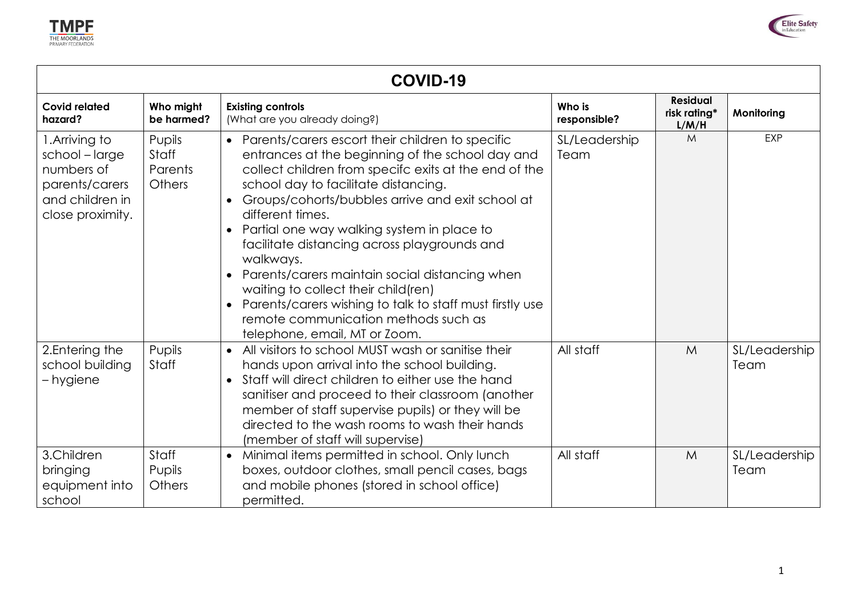



| COVID-19                                                                                              |                                      |                                                                                                                                                                                                                                                                                                                                                                                                                                                                                                                                                                                                                                                                 |                        |                                          |                       |
|-------------------------------------------------------------------------------------------------------|--------------------------------------|-----------------------------------------------------------------------------------------------------------------------------------------------------------------------------------------------------------------------------------------------------------------------------------------------------------------------------------------------------------------------------------------------------------------------------------------------------------------------------------------------------------------------------------------------------------------------------------------------------------------------------------------------------------------|------------------------|------------------------------------------|-----------------------|
| <b>Covid related</b><br>hazard?                                                                       | Who might<br>be harmed?              | <b>Existing controls</b><br>(What are you already doing?)                                                                                                                                                                                                                                                                                                                                                                                                                                                                                                                                                                                                       | Who is<br>responsible? | <b>Residual</b><br>risk rating*<br>L/M/H | Monitoring            |
| 1. Arriving to<br>school-large<br>numbers of<br>parents/carers<br>and children in<br>close proximity. | Pupils<br>Staff<br>Parents<br>Others | • Parents/carers escort their children to specific<br>entrances at the beginning of the school day and<br>collect children from specifc exits at the end of the<br>school day to facilitate distancing.<br>Groups/cohorts/bubbles arrive and exit school at<br>$\bullet$<br>different times.<br>Partial one way walking system in place to<br>$\bullet$<br>facilitate distancing across playgrounds and<br>walkways.<br>Parents/carers maintain social distancing when<br>waiting to collect their child(ren)<br>Parents/carers wishing to talk to staff must firstly use<br>$\bullet$<br>remote communication methods such as<br>telephone, email, MT or Zoom. | SL/Leadership<br>Team  | M                                        | <b>EXP</b>            |
| 2. Entering the<br>school building<br>– hygiene                                                       | Pupils<br>Staff                      | All visitors to school MUST wash or sanitise their<br>$\bullet$<br>hands upon arrival into the school building.<br>Staff will direct children to either use the hand<br>sanitiser and proceed to their classroom (another<br>member of staff supervise pupils) or they will be<br>directed to the wash rooms to wash their hands<br>(member of staff will supervise)                                                                                                                                                                                                                                                                                            | All staff              | M                                        | SL/Leadership<br>Team |
| 3.Children<br>bringing<br>equipment into<br>school                                                    | Staff<br>Pupils<br>Others            | Minimal items permitted in school. Only lunch<br>$\bullet$<br>boxes, outdoor clothes, small pencil cases, bags<br>and mobile phones (stored in school office)<br>permitted.                                                                                                                                                                                                                                                                                                                                                                                                                                                                                     | All staff              | M                                        | SL/Leadership<br>Team |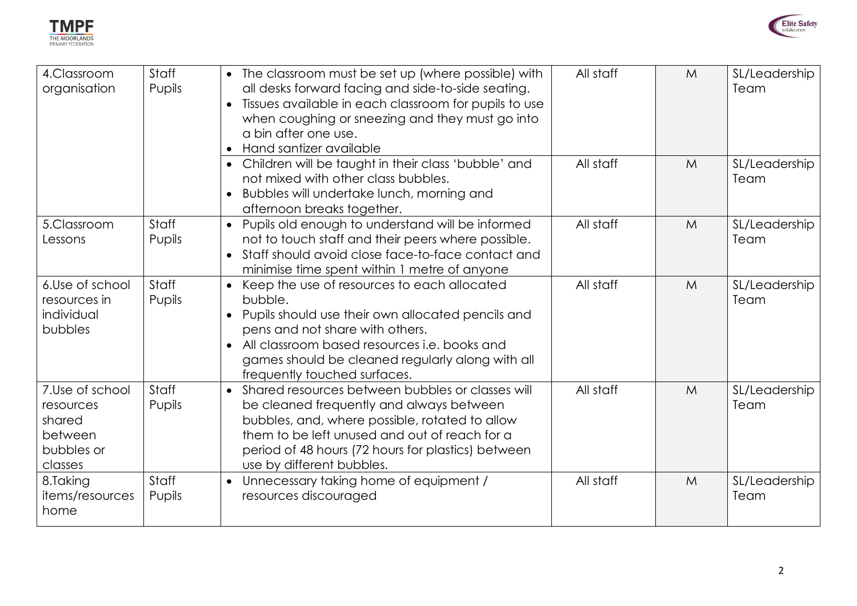



| 4.Classroom<br>organisation                                                | Staff<br>Pupils | • The classroom must be set up (where possible) with<br>all desks forward facing and side-to-side seating.<br>Tissues available in each classroom for pupils to use<br>$\bullet$<br>when coughing or sneezing and they must go into<br>a bin after one use.<br>• Hand santizer available        | All staff | M | SL/Leadership<br>Team |
|----------------------------------------------------------------------------|-----------------|-------------------------------------------------------------------------------------------------------------------------------------------------------------------------------------------------------------------------------------------------------------------------------------------------|-----------|---|-----------------------|
|                                                                            |                 | Children will be taught in their class 'bubble' and<br>not mixed with other class bubbles.<br>• Bubbles will undertake lunch, morning and<br>afternoon breaks together.                                                                                                                         | All staff | M | SL/Leadership<br>Team |
| 5.Classroom<br>Lessons                                                     | Staff<br>Pupils | • Pupils old enough to understand will be informed<br>not to touch staff and their peers where possible.<br>• Staff should avoid close face-to-face contact and<br>minimise time spent within 1 metre of anyone                                                                                 | All staff | M | SL/Leadership<br>Team |
| 6.Use of school<br>resources in<br>individual<br>bubbles                   | Staff<br>Pupils | Keep the use of resources to each allocated<br>bubble.<br>Pupils should use their own allocated pencils and<br>pens and not share with others.<br>All classroom based resources i.e. books and<br>$\bullet$<br>games should be cleaned regularly along with all<br>frequently touched surfaces. | All staff | M | SL/Leadership<br>Team |
| 7.Use of school<br>resources<br>shared<br>between<br>bubbles or<br>classes | Staff<br>Pupils | Shared resources between bubbles or classes will<br>be cleaned frequently and always between<br>bubbles, and, where possible, rotated to allow<br>them to be left unused and out of reach for a<br>period of 48 hours (72 hours for plastics) between<br>use by different bubbles.              | All staff | M | SL/Leadership<br>Team |
| 8.Taking<br>items/resources<br>home                                        | Staff<br>Pupils | • Unnecessary taking home of equipment /<br>resources discouraged                                                                                                                                                                                                                               | All staff | M | SL/Leadership<br>Team |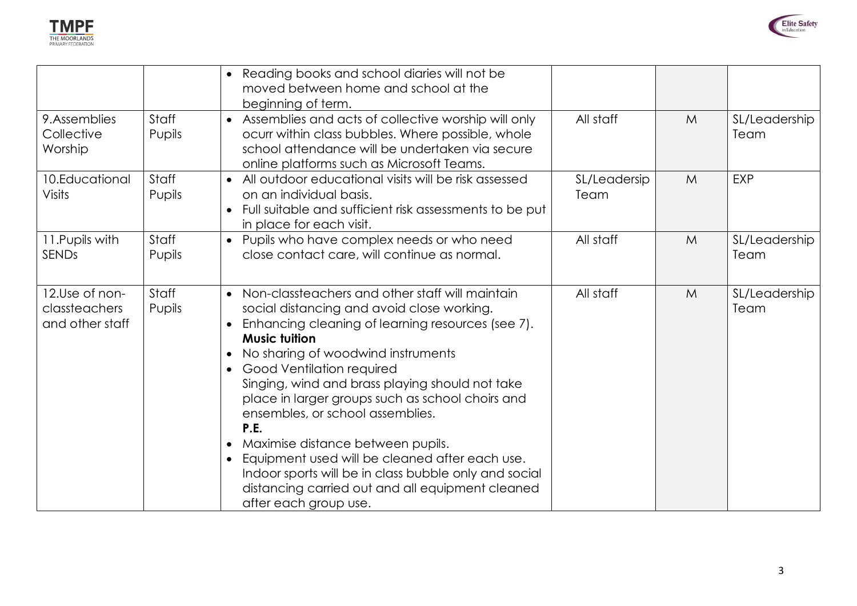



|                                                    |                 | • Reading books and school diaries will not be<br>moved between home and school at the<br>beginning of term.                                                                                                                                                                                                                                                                                                                                                                                                                                                                                                                                 |                      |   |                       |
|----------------------------------------------------|-----------------|----------------------------------------------------------------------------------------------------------------------------------------------------------------------------------------------------------------------------------------------------------------------------------------------------------------------------------------------------------------------------------------------------------------------------------------------------------------------------------------------------------------------------------------------------------------------------------------------------------------------------------------------|----------------------|---|-----------------------|
| 9.Assemblies<br>Collective<br>Worship              | Staff<br>Pupils | Assemblies and acts of collective worship will only<br>$\bullet$<br>ocurr within class bubbles. Where possible, whole<br>school attendance will be undertaken via secure<br>online platforms such as Microsoft Teams.                                                                                                                                                                                                                                                                                                                                                                                                                        | All staff            | M | SL/Leadership<br>Team |
| 10.Educational<br>Visits                           | Staff<br>Pupils | • All outdoor educational visits will be risk assessed<br>on an individual basis.<br>Full suitable and sufficient risk assessments to be put<br>in place for each visit.                                                                                                                                                                                                                                                                                                                                                                                                                                                                     | SL/Leadersip<br>Team | M | <b>EXP</b>            |
| 11. Pupils with<br><b>SENDs</b>                    | Staff<br>Pupils | • Pupils who have complex needs or who need<br>close contact care, will continue as normal.                                                                                                                                                                                                                                                                                                                                                                                                                                                                                                                                                  | All staff            | M | SL/Leadership<br>Team |
| 12.Use of non-<br>classteachers<br>and other staff | Staff<br>Pupils | • Non-classteachers and other staff will maintain<br>social distancing and avoid close working.<br>Enhancing cleaning of learning resources (see 7).<br><b>Music tuition</b><br>No sharing of woodwind instruments<br>Good Ventilation required<br>Singing, wind and brass playing should not take<br>place in larger groups such as school choirs and<br>ensembles, or school assemblies.<br>P.E.<br>Maximise distance between pupils.<br>Equipment used will be cleaned after each use.<br>$\bullet$<br>Indoor sports will be in class bubble only and social<br>distancing carried out and all equipment cleaned<br>after each group use. | All staff            | M | SL/Leadership<br>Team |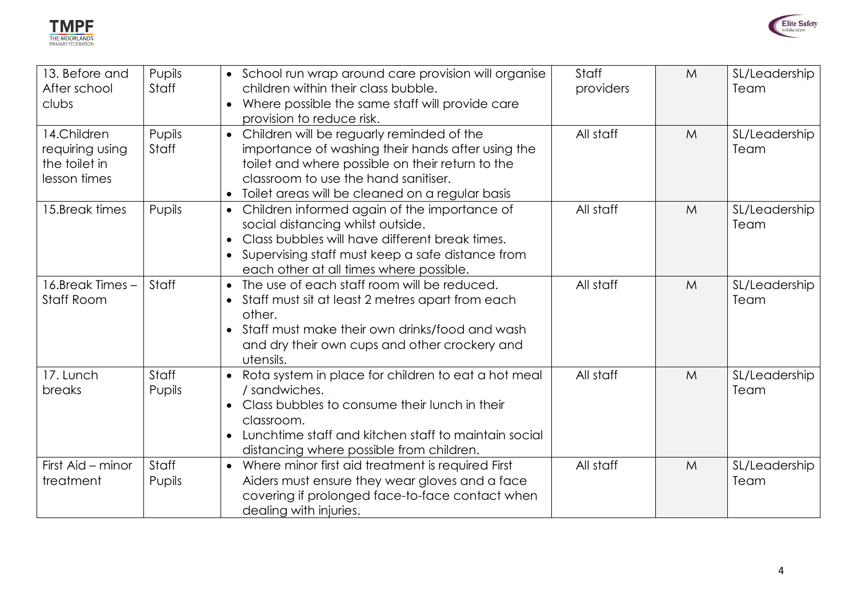



| 13. Before and<br>After school<br>clubs                         | Pupils<br><b>Staff</b> | • School run wrap around care provision will organise<br>children within their class bubble.<br>Where possible the same staff will provide care<br>provision to reduce risk.                                                                         | Staff<br>providers | M | SL/Leadership<br>Team |
|-----------------------------------------------------------------|------------------------|------------------------------------------------------------------------------------------------------------------------------------------------------------------------------------------------------------------------------------------------------|--------------------|---|-----------------------|
| 14.Children<br>requiring using<br>the toilet in<br>lesson times | Pupils<br><b>Staff</b> | • Children will be reguarly reminded of the<br>importance of washing their hands after using the<br>toilet and where possible on their return to the<br>classroom to use the hand sanitiser.<br>• Toilet areas will be cleaned on a regular basis    | All staff          | M | SL/Leadership<br>Team |
| 15.Break times                                                  | Pupils                 | • Children informed again of the importance of<br>social distancing whilst outside.<br>Class bubbles will have different break times.<br>Supervising staff must keep a safe distance from<br>each other at all times where possible.                 | All staff          | M | SL/Leadership<br>Team |
| 16.Break Times -<br><b>Staff Room</b>                           | Staff                  | The use of each staff room will be reduced.<br>$\bullet$<br>Staff must sit at least 2 metres apart from each<br>other.<br>Staff must make their own drinks/food and wash<br>and dry their own cups and other crockery and<br>utensils.               | All staff          | M | SL/Leadership<br>Team |
| 17. Lunch<br>breaks                                             | <b>Staff</b><br>Pupils | Rota system in place for children to eat a hot meal<br>$\bullet$<br>/ sandwiches.<br>Class bubbles to consume their lunch in their<br>classroom.<br>Lunchtime staff and kitchen staff to maintain social<br>distancing where possible from children. | All staff          | M | SL/Leadership<br>Team |
| First Aid - minor<br>treatment                                  | <b>Staff</b><br>Pupils | Where minor first aid treatment is required First<br>$\bullet$<br>Aiders must ensure they wear gloves and a face<br>covering if prolonged face-to-face contact when<br>dealing with injuries.                                                        | All staff          | M | SL/Leadership<br>Team |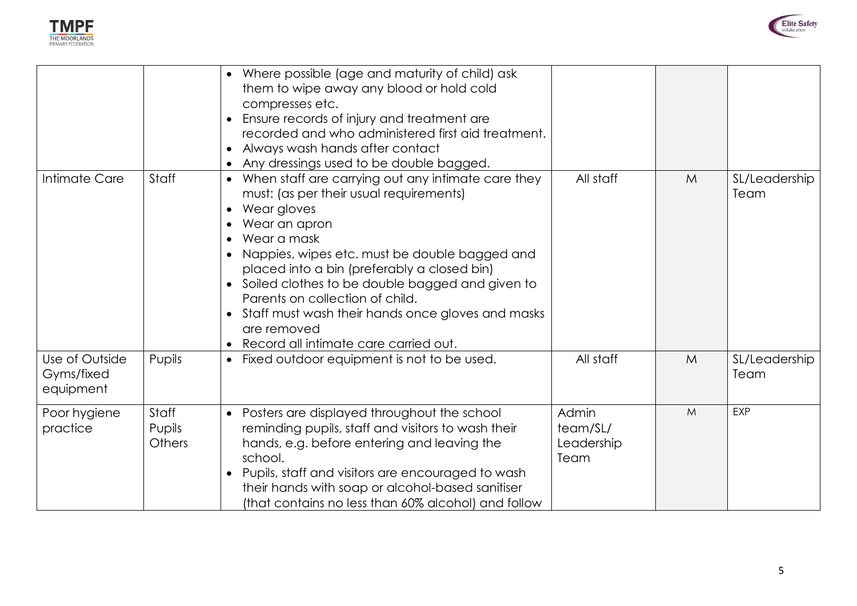



|                                           |                           | • Where possible (age and maturity of child) ask<br>them to wipe away any blood or hold cold<br>compresses etc.<br>Ensure records of injury and treatment are<br>$\bullet$<br>recorded and who administered first aid treatment.<br>• Always wash hands after contact<br>• Any dressings used to be double bagged.                                                                                                                                  |                                         |   |                       |
|-------------------------------------------|---------------------------|-----------------------------------------------------------------------------------------------------------------------------------------------------------------------------------------------------------------------------------------------------------------------------------------------------------------------------------------------------------------------------------------------------------------------------------------------------|-----------------------------------------|---|-----------------------|
| Intimate Care                             | Staff                     | • When staff are carrying out any intimate care they<br>must: (as per their usual requirements)<br>Wear gloves<br>Wear an apron<br>Wear a mask<br>Nappies, wipes etc. must be double bagged and<br>placed into a bin (preferably a closed bin)<br>Soiled clothes to be double bagged and given to<br>Parents on collection of child.<br>• Staff must wash their hands once gloves and masks<br>are removed<br>Record all intimate care carried out. | All staff                               | M | SL/Leadership<br>Team |
| Use of Outside<br>Gyms/fixed<br>equipment | Pupils                    | • Fixed outdoor equipment is not to be used.                                                                                                                                                                                                                                                                                                                                                                                                        | All staff                               | M | SL/Leadership<br>Team |
| Poor hygiene<br>practice                  | Staff<br>Pupils<br>Others | • Posters are displayed throughout the school<br>reminding pupils, staff and visitors to wash their<br>hands, e.g. before entering and leaving the<br>school.<br>Pupils, staff and visitors are encouraged to wash<br>their hands with soap or alcohol-based sanitiser<br>(that contains no less than 60% alcohol) and follow                                                                                                                       | Admin<br>team/SL/<br>Leadership<br>Team | M | <b>EXP</b>            |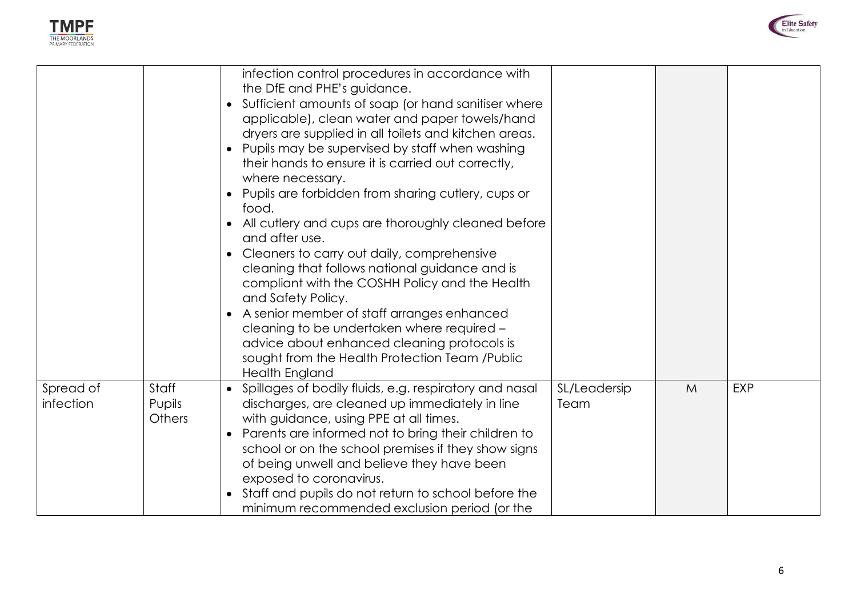



|                        |                           | infection control procedures in accordance with<br>the DfE and PHE's guidance.<br>Sufficient amounts of soap (or hand sanitiser where<br>applicable), clean water and paper towels/hand<br>dryers are supplied in all toilets and kitchen areas.<br>• Pupils may be supervised by staff when washing<br>their hands to ensure it is carried out correctly,<br>where necessary.<br>Pupils are forbidden from sharing cutlery, cups or<br>food.<br>• All cutlery and cups are thoroughly cleaned before<br>and after use.<br>Cleaners to carry out daily, comprehensive<br>cleaning that follows national guidance and is<br>compliant with the COSHH Policy and the Health<br>and Safety Policy.<br>• A senior member of staff arranges enhanced<br>cleaning to be undertaken where required -<br>advice about enhanced cleaning protocols is<br>sought from the Health Protection Team /Public<br><b>Health England</b> |                      |   |            |
|------------------------|---------------------------|-------------------------------------------------------------------------------------------------------------------------------------------------------------------------------------------------------------------------------------------------------------------------------------------------------------------------------------------------------------------------------------------------------------------------------------------------------------------------------------------------------------------------------------------------------------------------------------------------------------------------------------------------------------------------------------------------------------------------------------------------------------------------------------------------------------------------------------------------------------------------------------------------------------------------|----------------------|---|------------|
| Spread of<br>infection | Staff<br>Pupils<br>Others | • Spillages of bodily fluids, e.g. respiratory and nasal<br>discharges, are cleaned up immediately in line<br>with guidance, using PPE at all times.<br>Parents are informed not to bring their children to<br>$\bullet$<br>school or on the school premises if they show signs<br>of being unwell and believe they have been<br>exposed to coronavirus.<br>Staff and pupils do not return to school before the<br>minimum recommended exclusion period (or the                                                                                                                                                                                                                                                                                                                                                                                                                                                         | SL/Leadersip<br>Team | M | <b>EXP</b> |